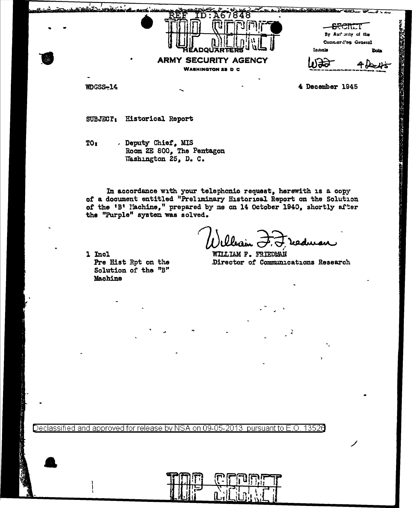| <u>—</u> |                                                                                     | $-$ <del>SFCRE</del> T<br>By Aut only of the<br>Commerd'ng General |  |
|----------|-------------------------------------------------------------------------------------|--------------------------------------------------------------------|--|
| ٠        | <b>JARTERS</b><br><b>ŘÉADO!</b><br><b>ARMY SECURITY AGENCY</b><br>WASHINGTON 25 D C | Initials<br>Data                                                   |  |

NDGSS-14

4 December 1945

**TANKS CONTROLLED AND REAL PROPERTY** 

SUBJECT: Historical Report

. Deputy Chief, MIS TO: Room 2E 800, The Pentagon Washington 25, D. C.

In accordance with your telephonic request, herewith is a copy of a document entitled "Preliminary Historical Report on the Solution of the 'B' Nachine," prepared by me on 14 October 1940, shortly after the "Purple" system was solved.

reducent

1 Incl Pre Hist Rpt on the Solution of the "B" Machine

**NILLIAM F. FRIEDMAN** Director of Communications Research

Declassified and approved for release by NSA on 09-05-2013  $\,$  pursuant to E.O  $\,$ 13526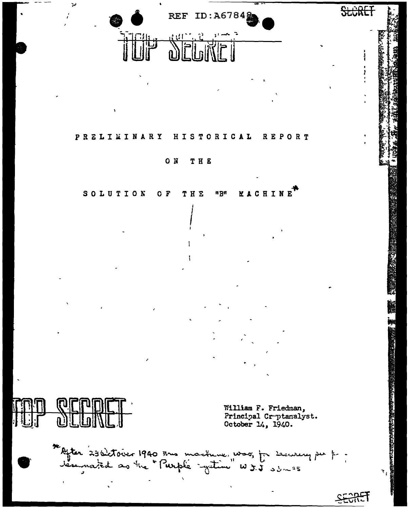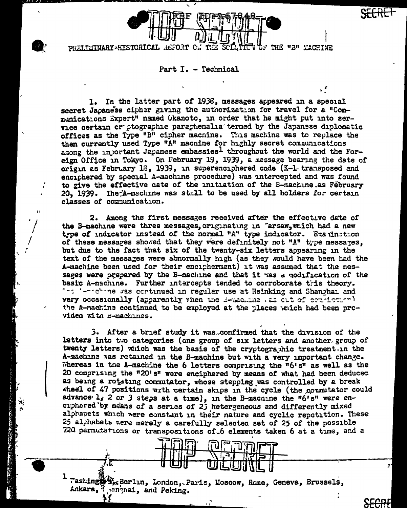

PRELIEINARY HISTORICAL **REPORT** THE "3" YACHINE

Part I. - Technical

In the latter part of 1938, messages appeared in a special 1. secret Japanese cipher giving the authorization for travel for a "Communications Expert" named Okamoto, in order that he might put into service certain or ptographic paraphenalia' termed by the Japanese diplomatic offices as the Type "B" cipher macnine. This machine was to replace the then currently used Type "A" macnine for highly secret communications among the injortant Japanese embassies1 throughout the world and the Foreign Office in Tokyo. On February 19, 1939, a message bearing the date of origin as February 18, 1939, in superenciphered code (K-1 transposed and enciphered by special A-machine procedure) was intercepted and was found to give the effective cate of the initiation of the B-machine as February 20, 1939. The A-machine was still to be used by all holders for certain classes of communication.

2. Among the first messages received after the effective date of the B-machine were three messages, originating in "arsaw, which had a new type of indicator instead of the normal "A" type indicator. Examination of these messares showed that they were definitely not "A" type messages. but due to the fact that six of the twenty-six letters appearing in the text of the messages were abnormally high (as they would have been had the A-machine been used for their encipherment) it was assumed that the messages were prepared by the B-machine and that it was a modification of the basic A-machine. Further intercepts tended to corroborate this theory. "": '-"chine was continued in regular use at Hsinking and Shanghai and very occasionally (apparently vhen the B-machine as out of commission) the A-machine continued to be employed at the places which had been prcvidea with B-machines.

3. After a brief study it was.confirmed that the division of the letters into the categories (one group of six letters and another group of twenty letters) which was the basis of the cryptographic treatment. In the A-machine was retained in the B-machine but with a very important change. Whereas in the A-machine the 6 letters comprising the  $n6'sn$  as well as the 20 comprising the "20's" were enciphered by means of what had been deduced as being a rotating commutator, whose stepping was controlled by a break wheel of 47 positions with certain skips in the cycle (the commutator could advance l, 2 or 3 steps at a time), in the B-machine the "6's" were encuphered by means of a series of 2j hetergeneous and differently mixed alphapets which were constant in their nature and cyclic repetition. These 25 al habets were merely a carefully selected set of 25 of the possible 720 permutations or transpositions of 6 elements taken 6 at a time, and a

Washing StraBerlin, London, Paris, Loscow, Rome, Geneva, Brussels, Ankara, "anynai, and Peking.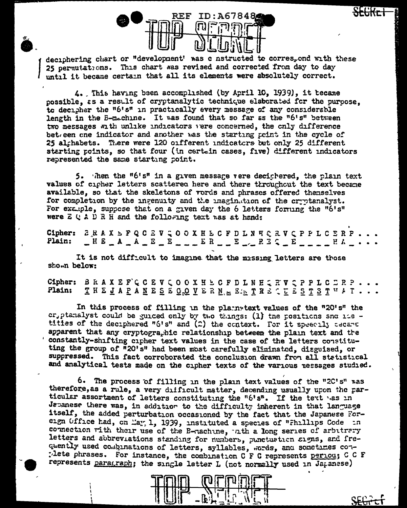

deciphering chart or "development' was c nstructed to corres, ond with these 25 permutations. This chart was revised and corrected from day to day until it became certain that all its elements were absolutely correct.

4. This having been accomplished (by April 10, 1939), it tecame possible, as a result of cryptanalytic technique elaborated for the puroose. to decipher the "6's" in practically every message of any considerable length in the E-machine. It was found that so far as the "6's" between two messages with unlike indicators vere concerned, the only difference bet een one indicator and another was the starting point in the cycle of 25 alghabets. There were 120 onfferent undicators but only 25 different starting points, so that four (in certain cases, five) different indicators represented the same starting point.

5. Then the "6's" in a given message vere deciphered, the plain text values of cipher letters scattered here and there throughout the text became available, so that the skeletons of vords and phrases offered themselves for completion by the ingenuity and the imagination of the cryptanalyst. For example, suppose that on a given day the 6 letters forming the "6's" were  $E \cup A \cup R$  H and the following text was at hand:

Cipher: *B* R A X E P Q C Z V Q O O X H E C F D L N E C R V Q P P L C E R P  $\begin{array}{l} \begin{array}{l} \end{array} \begin{array}{l} \begin{array}{l} \end{array} \begin{array}{l} \end{array} \begin{array}{l} \end{array} \begin{array}{l} \end{array} \begin{array}{l} \end{array} \begin{array}{l} \end{array} \begin{array}{l} \end{array} \begin{array}{l} \end{array} \begin{array}{l} \end{array} \begin{array}{l} \end{array} \begin{array}{l} \end{array} \begin{array}{l} \end{array} \begin{array}{l} \end{array} \begin{array}{l} \end{array} \begin{array}{l} \end{array} \begin{array}{l} \end{array} \begin$ Plain:

It is not difficult to imagine that the missing letters are those shown below:

Cipher: BRAXEFCCEVCOOXHECFDLNHQRVQPPLCDRP. Plain: THEJAPANESEGOVERN. EATRECEESTSTUAT..

In this process of filling in the plainstext values of the "20's" the cr, ptanalyst could be guided only by two things: (1) the positions sno its titles of the deciphered "6's" and (2) the context. For it speecily cecane apparent that any cryptographic relationship between the plain text and the constantly-shifting cipher text values in the case of the letters constituting the group of "20's" had been most carefully eliminated, disguised, or suppressed. This fact corroborated the conclusion drawn from all statistical and analytical tests made on the cipher texts of the various nessages studied.

6. The process of filling in the plain text values of the "2C's" was therefore, as a rule, a very difficult matter, depending usually upon the particular assortment of letters constituting the "6's". If the text was in Japanese there was, in addition to the difficulty inherent in that language itself, the added perturbation occasioned by the fact that the Japanese Foreign Office had, on May, 1, 1939, instituted a species of "Fhillips Code in connection with their use of the B-nachine, ath a long series of arbitrary letters and abbreviations standing for numbers, punctuation signs, and frequently used combinations of letters, syllables, words, and sometimes con-The phrases. For instance, the combination C F C represents period; C C F represents paragraph; the single letter L (not normally used in Japanese)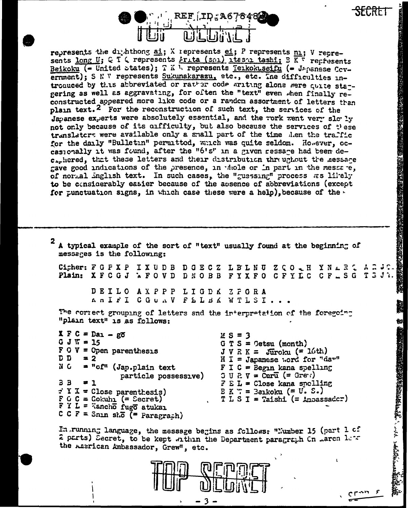

represents the dimit hong ai; X represents ei; P represents ni; V represents long U; C T C represents Frita (sml) ltssm tashi; B K T represents Beikoku (= United states); T K 1. represents Terkokuseifu (= Japanese Covernment); S N W represents Sukunakarazu, etc., etc. Ine difficulties introqueed by this abbreviated or rather code writing alone were quite sta-gering as well as aggravating, for often the "text" even when finally reconstructed appeared more like code or a random assortment of letters than plain text.<sup>2</sup> For the reconstruction of such text, the services of the Japanese experts were absolutely essential, and the rork went very slo ly not only because of its cufficulty, but also because the services of these translaters were available only a small part of the time Alen the traffic for the daily "Bulletin" permitted, which was quite seldom. However, occasionally it was found, after the "6's" in a given ressare had been dec. hered, that these letters and their distribution threughout the message gave good indications of the presence, in whole or in part in the messare, of normal inglish text. In such cases, the "guessing" process as likely to be considerably easier because of the absence of abbreviations (except for punctuation signs, in which case these were a help), because of the  $\cdot$ 

2 A typical example of the sort of "text" usually found at the beginning of messages is the following: Cigher: F G F X P I X U D B D G E C Z L B L N U Z Q O Q H Y N A R Z A R Plain: XFCGJ WFOVD DNOBB FYXFO CFYLC CF\_SG T3J7. DEILO AXPPP LIGDK ZFGRA An IFI COUAV FELBA WTLSI. The correct grouping of letters and the interpretation of the foregoing "plain text" is as follows:  $X F C = D a_1 - g \overline{o}$  $2S = 3$  $G J T = 15$  $G T S = \text{Getsu (month)}$  $F$  O  $V$  = Open parenthesis  $J V R K = Juroku (= 16th)$ ם ס  $= 2$  $H I = Japanese word for "darr"$ N C  $=$  " $of$ " (Jap.plain text  $F I C = Begn$  kana spelling  $G \cup R \vee = \text{Corr}$  (= Green) particle possessive)  $\overline{B}$   $\overline{B}$  $= 1$  $F E L = Close kana, so  $F$$  $\div$  Y X = Close parenthesis)  $E K T =$  Berkoku (= U.S.)  $F G G = Cokuhn$  (= Secret)<br> $F Y L = T$  ancho fugo atukan  $T L S I = Taishi (= Anoassadcr)$ C C F = Snin sko  $\overline{F}$  = Paragrach)

In running language, the message begins as follows: "Number 15 (part 1 of 2 parts) Secret, to be kept within the Department paragraph Cn Laron lets the Lasrican Ambassador, Grew", etc.



 $\mathbf{L}$ 

**地方和我的理想的意思地的感觉 硫酸盐 医沙马根科多氏反应** 

金融的数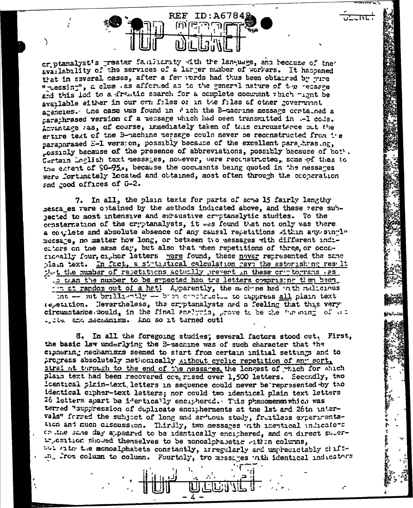**REF** ID:A67848 ί٣

crptanalyst's preater familiarity with the language, and because of the availability of the services of a larger number of workers. It haspened that in several cases, after a fer words had thus been obtained by pure " Lessing", a clue . as afforded as to the general nature of the recsage and this lod to a frantic search for a complete document thich wight be available either in our own files or in the files of other government agencies. One case was found in # ich the B-macrine message contained a caraphrased version of a message which had been transmitted in .- 1 code. Acrantage ras, of course, immediately taken of this circumstance out the ertire text of the B-machine message could never be reconstructed from the paraparased E-I version, possibly because of the excellent para hrasing. casibly because of the presence of abbreviations, possibly because of bot . Certain Inglish text messages, nowever, were reconstructed, some of them to the extent of 90-95., because the cocuments being quoted in the nessares were fortunately located and obtained, most often through the cooperation and good offices of G-2.

7. In all, the plain texts for parts of sche 15 fairly lengthy ressages vere optained by the methods indicated above, and these vere subnected to most intensive and exhaustive cryptanalytic studies. To the consternation of the cryptanalysts, it was found that not only was there a complete and absolute absence of any causal repetitions within any single message, no matter how long, or between two messages with different indicators on the same day, but also that when repetitions of three, or occasionally four, cigher letters were found, these never represented the same plain text. In fact, a statustical calculation gave the astorishing result that the number of resetitions actually present in these criptograms . 25 .s tran the number to be expected had tre letters comprising then been. ... at random out of a hat! Apparently, the mechane had in the mallonus int -- sut brilliantly -- bien continuation to suppress all plain text repetition. Nevertheless, the cryptanalysts and a feeling that this very circumstance would, in the final analysis, grove to be the "muoing of us

tive and mechanism. And so it turned out!

3. In all the foregoing studies; several factors stood cut. First, the basic law underlying the B-machine was of such character that the cipnering mechanisms seemed to start from certain initial settings and to progress absolutely methodically Althout cyclic repetition of any sort. straint turough to the end of the nessages, the longest of which for which plain text had been recovered  $cc_1$  rised over 1,500 letters. Secondly, two icentical plain-text, letters in sequence could never be represented by two identical crpher-text letters; nor could two identical plain text letters 26 letters apart be identically enciphered. This phenomenon which was terred "suppression of duplicate encipherments at the 1st and 26th intervals" forred the subject of long and arduous study, fruitless experimentation and much ciscussion. Thirdly, two messages with inertical undicators or the same day appeared to be identically enciphered, and on direct superwrosition showed themselves to be monoalphabetic within columns, but ritr the monoalphabets constantly, irregularly and unpredictably chilt--n. From column to column. Fourtaly, tro messages with identical indicators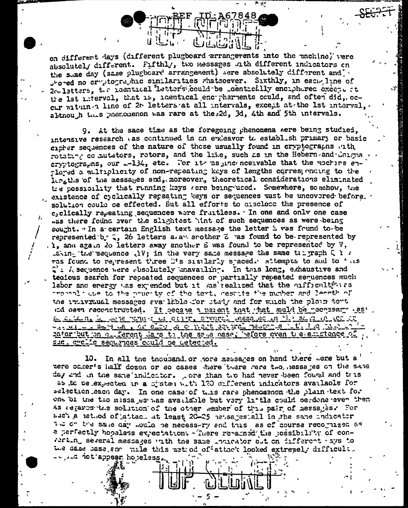on different days (different plugboard arrangements into the machine) vere absolutely different. Fifthly, two messages ath different indicators on the state day (same plugboard arrangement) were absolutely different and stored no cryptographic similarities whatsoever. Sixthly, in each line of 2c. latters, the naentical letters could be \_dentically enciphered execpt at the 1st miterval, that is, identical encorpherients could, and often did, occur vaturn a line of 2t letters at all intervals, except at the 1st interval, altnouth this phenomenon was rare at the 2d, 3d, 4th and 5th intervals.

9. At the same time as the foregoing phenomena were being studied. intensive research as continued in an endeavor to establish primary or basic cicker sequences of the nature of those usually found in cryptographs with rotatan co mutators, rotors, and the like, such as in the Hebern and Colmia ervetographs, our .- 134, etc. For its as inconceivable that the machine en--loved a multiplicity of non-repeating keys of lengths corresponding to the institute of the messages and, moreover, theoretical considerations eliminated tre cossibility that running keys vere being used. Somewhere, somehow, the existence of cyclically repeating keys or sequences must be uncovered before. solution could be effected. But all efforts to disclose the presence of c, clically repeating sequences were fruitless. In one and only one case .ss there found ever the slightest 'int of such sequences as were being sought. " In a certain English text message the letter i was found to be represented b. 2, 26 letters a. a. another Z ras found to be-represented by . I, and again 20 letters away another E was found to be represented by V, .aking the sequence . IV; in the very same message the same trigraph  $Q$  is ras found to represent three D's similarly spaced. Attempts to and to this  $\mathcal{C}$ :  $\lambda$  sequence were absolutely unavailing. In this long, akhaustive and tecious search for repeated sequences or partially repeated sequences much labor and energy was expended but it was realized that the cufficulty is the to the prucity of the text, restite the number and length of the individual messages available for study and for which the plain tont and osen reconstructed. It gecans a parent that that sould be pecossary as' Le se le ne le se ne seul de la centre saverel méssage en 11 a se a 10 de de was million - Salve was a criterior of most soveral meson is intitled in Maria cator but on a ferent days to the same pase, before even the emptence of <u>suc, cyclic sequences could be detected.</u>

10. In all the thousand or nore messages on hand there were but a mere oaker's half dozen or so cases there tuere rere two, nessages on the same day and in the same indiction. pore than the had never been found and thus as to telexpected in a cistem with 120 different indicators available for selection each day. In one case of this rare phenomenon the plain text for one of the tho messages has available but very little could berdone even then as regares the solution of the other member of this pair of messages. For add's a nethod of attach at least 20-25 netsages all in the same indicator in on the same day mother be necess-ry and this as of course recognized as a perfectly hopeless expectation: - There remained the possibility of con-With several messages with the same indicator out on different ays to We same base and mile this netured offattack looked extremely difficult. - ... d ict appear hopeless.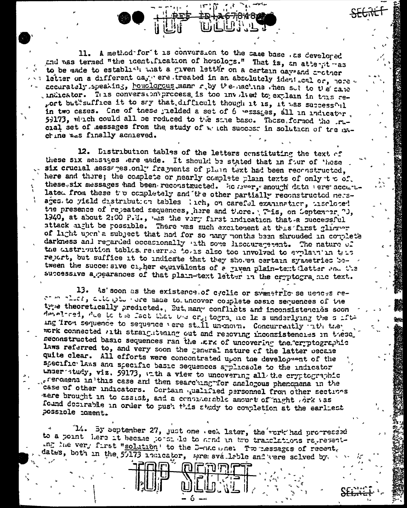11. A method for t is conversion to the same base . as develored and was termed "the identification of homologs." That is, an atternt was to be made to establish what a given letter on a certain days and critical letter on a different day ere treated in an absolutely ident cal or, nore accurately speaking, honologous mann r by the nachine then sut to the cane indicator. This conversion process is too involved to explain in this report but suffice it to say that, difficult though it is, it was successful in two cases. Cne of these yielded a set of 6 pessages, all in indicator. 59173, which could all be reduced to the same base. These formed the rucial set of messages from the study of which success in solution of tre machine was finally achieved.

12. Distribution tables of the letters constituting the text of these six nessages ere made. It should be stated that in four of these six crucial messages only fragments of plain text had been reconstructed, here and there; the complete or nearly complete plain texts of only to of. these six messages had been reconstructed. He merry anough data vere accurulated from these to completely and the other partially reconstructed nessages to yield distribution tables lich, on careful examination, insclosed the presence of repeated sequences, here and there. This, on September 7J, 1940, at about 2:00 P.M., was the very first indication that a successful attack uight be possible. There was much excitement at this first glimmer of light upon's subject that had for so hany months been shrouded in couplet's darkness and regarded occasionally ath some liscouragement. The nature of the distribution tables retermed to also too involved to explain in this report, but suffice it to indicate that they showed certain symmetries between the succe: sive cigher equivalents of a jiven plain-tent letter and the successive a pearances of that plain-text letter in the cryptogra ale text.

13. As' soon as the existence of cyclic or swametric se uences reat more that when the nade to uncover couplete assic sequences of the true theoretically predicted., But many conflicts and inconsistencies soon develored, the id the fact that the crit togra nic la s underlying the suffiing iron sequence to sequence vere still unenorm. Concurrently rith the work connected with straightening out and repoving inconsistencies in these. reconstructed basic sequences ran the .Erk of uncovering the cryptographic laws referred to, and very soon the general nature of the latter oecane quite clear. All efforts were concontrated upon the development of the specific laws and specific basic sequences applicable to the indicator under study, viz. 59173, ath a view to uncovering all the cryptographic freromena in this case and then searching for analogous phenomena in the case of other indicators. Cortain qualified personnel from other sections were brought in to assist, and a considerable amount of night ork vas found desirable in order to push this study to completion at the earliest possible coment.

14. By september 27, just one . eek later, the rork had procressed to a point here it became portraite to armd in two translations representthe very first "solution' to the D-nacune: Tweessages of recent. dates, both in the 57173 indicator, meremovaleble and term solved by.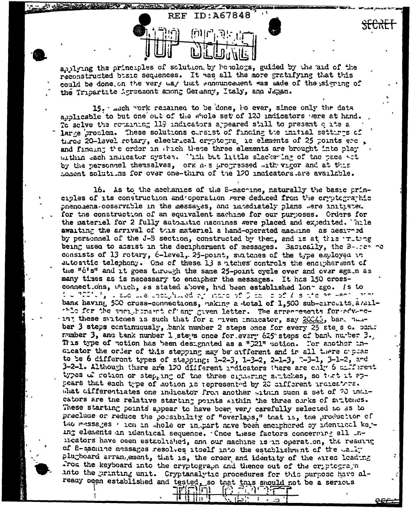andlying the principles of solution, by bonologs, guided by the aid of the reconstructed bisic sequences. It was all the more gratifying that this could be done on the very way that summuncement was made of the signing of the Tripartite Agreement among Germany, Italy, and Japan.

**REF** 

ID: A67848

15. Juch vork remained to be done, i's ever, since only the data abblicable to but one out of the whole set of 120 indicators were at hand. To solve the remaining 119 indicators appeared still to present quite a large grooten. These solutions corsist of finding the initial settings of three 20-lavel rotary, electrical cryptogragic elements of 25 points erc, and finding the erder in which these three elements are brought into play within each indicator system. This but little slackering of the pace act by the personnel themselves, ork n-s progressed with vigor and at this homent solutions for over one-third of the 120 indicators are available.

16. As to the mechanics of the E-machine, naturally the basic principles of its construction and operation were deduced from the cryptographic phenomena-ooservable in the messages, and marediately plans were initiated. for the construction of an equivalent machine for our purposes. Orders for the nateriel for 2 fully automatic nachines were placed and expedited. Thile awaiting the arrival of this material a hand-operated machine as aesiveed by personnel of the J-B section, constructed by them, and is at this initing being used to assist in the decipherment of messages. Basically, the  $B-1$ consists of 13 rotary, 6-level, 25-point, suitches of the type employed in autonatic telephony. One of these 13 s atches controls the encryherment of the "c's" and it goes through the same 25-point cycle over and over again as many times as is necessary to encipher the messages. It has 150 crossconnections, which, as stated above, had been established lon-ago. Is to  $t$  or  $200$  or  $t$  , and the upon procedure of process of  $\beta$  can be of  $T$  is the process of  $\alpha$ bank having 500 cross-connections, naking a total of 1,500 sub-circuits arallthle for the enclicituant of any given letter. The arrencements for advance these suitches is such that for a tiven indicator, say 20045, bar. Thus ber 3 steps continuously, bank number 2 steps once for every 25 ste s of pan. number 3, and tank number 1 steps once for every 625 steps of bank number 3. This type of notion has been designated as a "321" motion. For another inatcator the order of this stepping may be arfferent and in all there a pear to be 6 different types of stepping: 1-2-3, 1-3-2, 2-1-3, 2-3-1, 3-1-2, and 3-2-1. Although there are 120 different redicators there are only 6 criferent types of rotion or step, ing of the three ciphering saitches, so that it appears that each type of motion is represented by 20 cifferent indicators. what differentiates one indicator from another within such a set of 20 indicators are the relative starting points within the three ourks of suptemes. These starting points appear to have boen very carefully selected so as to preclude or reduce the porsibility of "overlaps," that is, the production of the messages with in whole or in part nave been enciphered of identical keying elements an identical sequence. Cnce these factors concerning all inmicators have oeen established, and our machine is in operation, the reading of B-machine messages resolves itself into the establishment of the wally plugboard arrangement, that is, the order and identity of the aires leading From the keyboard into the cryptograph and thence out of the cryptograph into the printing unit. Cryptanalytic procedures for this purpose have already ocen established and tested, so that this should not be a serious

ורו ירול

化特甘油基

다 지나를

 $\mathbf{L}$ 

 $\sum$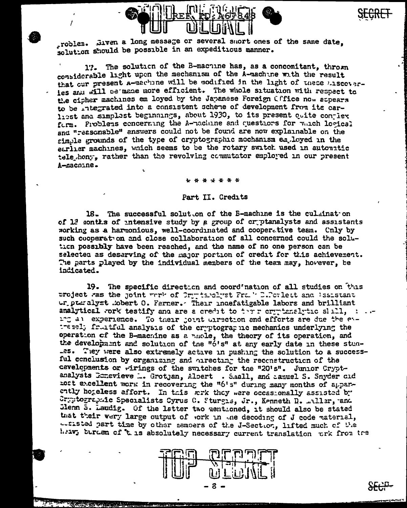

roblem. Jiven a long message or several snort ones of the same date. solution should be possible in an expeditious manner.

17. The solution of the B-machine has, as a concomitant, thrown considerable light upon the mechanism of the A-machine with the result that our present a-machine will be modified in the light of these hiscoverles and will be made more efficient. The whole situation with respect to the cipher machines em loyed by the Japanese Foreign Cffice now appears to be integrated into a consistent scheme of development from its carhest and simplest beginnings, about 1930, to its present quite conjier form. Problems concerning the A-machine and questions for which losical and "reasonable" answers could not be found are now explainable on the simple grounds of the type of cryptographic mechanism employed in the earlier machines, which seems to be the rotary switch used in autouritic tele hony, rather than the revolving commutator employed in our present A-macnine.

\* \* \* \* \* \*

## Part II. Credits

18. The successful solut on of the B-machine is the culminat on of 12 sonths of intensive study by a group of criptanalysts and assistants working as a harmonious, well-coordinated and cooperative team. Cnly by such cooperation and close collaboration of all concerned could the solution possibly have been reached, and the name of no one person can be selected as deserving of the major portion of credit for this achievement. The parts played by the individual members of the team may, hovever, be indicated.

19. The specific direction and coordination of all studies on this project was the joint work of Orgensland Frake D.Porlett and Issistant ur puralyst mobert 0. Ferner. Their indefatigable labors and brilliant analytical work testify and are a credit to there organized the shall, in an ing all experience. To their joint uirection and efforts are due the evtressl; fruitful analysis of the cryptographic mechanics underlying the operation of the B-machine as a nuole, the theory of its operation, and the development and solution of the "6's" at any early date in these stun-.es. They were also extremely active in pushing the solution to a successful conclusion by organizing and oirecting the reconstruction of the cevelopments or wirings of the switches for the "20's". Junior Cryptanalysts Conevieve ... Grotjan, Albert . S.mall, and agauel S. Snyder cid nost excellent work in recovering the "6's" during many months of apparently hogeless effort. In this work they were occasionally assisted by Cryptographic Specialists Cyrus C. Sturgis, Jr., Kenneth D. miller, and Jienn 5. Laudig. Of the latter two mentioned, it should also be stated that their very large output of work in the decoding of J code material, actisted part time by other nemoers of the J-Section, lifted much of the heav, burden of 't is absolutely necessary current translation ork from the



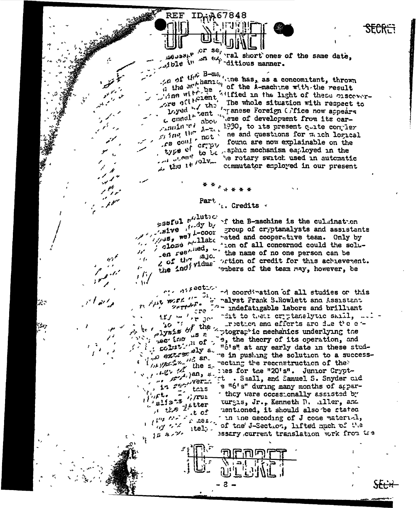$\frac{1}{2}$  or se,  $\frac{1}{2}$  short ones of the same date,  $\mathcal{L}_{\text{c},\text{d}}^{\text{deupark}}$ 

 $\angle a$  of the B-ms, when has, as a concomitant, thrown a  $\sigma$  is the hanism of the A-machine with the result A the Willie I of the A-machine with the result<br>Time with be a server-<br>The contribution of the server-Loyed Lent in the conduction with respect to the conduction of the conduction of the conduction of  $\mu$  and  $\mu$  and  $\mu$  and  $\mu$  and  $\mu$  and  $\mu$  and  $\mu$  and  $\mu$  and  $\mu$  and  $\mu$  and  $\mu$  and  $\mu$  and  $\mu$  and  $\mu$   $f^2$  could crept found are now explainable on the type of to be aphacemechanism endows in type of to be sphile mechanism employed in the he rotary switch used in automatic the view of the commutator employed in our present

**SECRET** 

Part  $\frac{1}{4}$ . Credits  $\frac{1}{4}$ 

 $538$ ful  $r^{i/\text{lutoc}}$ sive foody by  $\mathcal{F}_{\mathcal{F}}$  , and  $\mathcal{U}'$  $205$  the  $120$  $\rightarrow$   $\prime$  $\boldsymbol{P}$  $\mu$  fin

 $\mu_{\mu\nu}$  were  $\mu = 2i$ 

 $20 - 20$ 

(法)/紀念/2, 112, an.

 $\mathbb{Z}^*$ alists "/rus

the line of the second

 $\lim_{k\to\infty} \left\| \mathcal{L}(\mathbf{z}) \right\|^2 \leq \frac{1}{\sqrt{2}} \left\| \mathbf{O} \right\|^2$ 

 $58.87$ 

tais

 $itel$ .

 $\mathbf{a}$   $\mathbf{a}$ 

 $1.2 - 12$ 

 $2$  of  $t$  of  $F$   $\bullet$ 

• \≀√

د بي

**REF** 

ID.A67848

if the B-machine is the culmination whive the coor group of cryptanalysts and assistants. gives morphilate "ated and cooperative team. Only by the solu-<br>close fined, then of all concerned could the soluen regards. The name of no one person can be close that the name of no one person can be 2 of the individue ortion of credit for this achievement.<br>the individue embers of the team may, however, be

 $\cdots$  difection of all studies or this malyst Frank S.Rowlett and Assistant the the indefatigable labors and brilliant if / w ' r Jo cit to their criptanalytic skill, ... bo if the riction and efforts are due the e tretton and efforts are due the enplyzz<sub>"</sub> is a prographic mechanics underlying the  $\mu$ s is a prographic mechanics underlying the  $\mu$  is  $\mu$  of  $\mu$ ,  $\sigma$ ,  $\mu$  of  $\mu$ ,  $\sigma$ ,  $\mu$  of  $\sigma$ ,  $\sigma$ ,  $\mu$  of  $\mu$ ,  $\sigma$ ,  $\mu$ ,  $\sigma$ ,  $\mu$ ,  $\sigma$ ,  $\sigma$ ,  $\sigma$ ,  $\sigma$ ,  $\sigma$ ,  $\sigma$ ,  $\sigma$ ,  $\sigma$ ,  $\sigma$ ,  $\sigma$ ,  $\sigma$ ,  $\sigma$ ,  $\sigma$ ,  $\sigma$ ,  $\sigma$ ,  $\sigma$ ,  $\sigma$ ,  $\sigma$ ,  $\sigma$ , these students are in pushing the solution to a successthe streeting the reconstruction of the where the "20's". Junior Crypt.<br>12 28 November 2018, and Samuel S. Snyder cid they were occasionally assisted by turgis, Jr., Kenneth D. aller, and mentioned, it should also be stated the ne decoding of J code material, the world when I is the decoding of J code material, Besary current translation work from the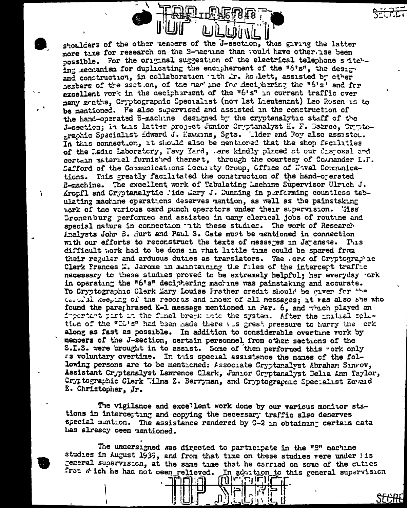shoulders of the other members of the J-section, thus giving the latter more time for research on the 3-nachine than would have otherwise been possible. For the original suggestion of the electrical telephone s itching accuanism for duplicating the encipherment of the "6's", the design and construction, in collaboration ith ir. Ro lett, assisted by other herbers of the section, of the mar' ine for deciphering the "6's" and for excellent vork in the aecipheraent of the "6's" in current traffic over many menths, Cryptographic Specialist (now lst Lieutenant) Leo Rosen is to be mentioned. Fe also supervised and assisted in the construction of the hand-operated E-machine designed by the cryptanalytic staff of the J-section; in this latter project Junior Cryptanalyst H. F. Dearce, Cryptographic Specialist idward J. Hawkins, Sgts. Lider and Foy also assisted. In this connection, it should also be mentioned that the shop facilities of the Ladio Laboratory, Pavy Yard, .ere kindly placed at our disposal and certein material furnished therest, through the courtesy of Counander L.F. Safford of the Communications Security Group, Office of Naval Communications. This greatly facilitated the construction of the hand-orerated E-machine. The excellent work of Tabulating Lachine Supervisor Ulrich J. Krosfl and Cryptanalytic lide Lary J. Dunning in performing countless tabulating machine operations deserves mention, as well as the painstaking nork of the various card punch operators under their supervision. Tiss Gronenburg performed and assisted in many clerical jobs of routine and special nature in connection that these studies. The work of Research Analysts John B. Hurt and Paul S. Cate must be mentioned in connection with our efforts to reconstruct the texts of messages in Japanese. This difficult work had to be done in what little time could be spared from their regular and arduous duties as trarslators. The .ork of Cryptographic Clerk Frances L. Jerome in maintaining the files of the intercept traffic necessary to these studies proved to be extremely helpful; her everyday .ork in operating the "6's" deciphering machine was painstaking and accurate. To Cryptographic Clerk Mary Louise Frather credit should be given for the tertil keeping of the records and index of all messages; it vas also she who found the paraghrased K-1 message mentioned in Par. 6, and thich played an important part in the final break into the system. After the initial solution of the "CO's" had been hade there was great pressure to hurry the ork along as fast as possible. In addition to considerable overtime vork by members of the J-section, certain personnel from other sections of the S.I.S. were brought in to assist. Some of them performed this "ork only as voluntary overtime. In this special assistance the names of the following persons are to be mentioned: Associate Cryptanalyst Abraham Sinrov, Assistant Cryptanalyst Lawrence Clark, Junior Cryptanalyst Delia Ann Taylor, Cryptographic Clerk "ilma Z. Berryman, and Cryptographic Specialist Equaid E. Christopher, Jr.

 $\mathbf{r}$ 

The vigilance and excellent work done by our various monitor stations in intercepting and copying the necessary traffic also deserves special mention. The assistance rendered by G-2 in obtaining certain cata has alreacy oeen mentioned.

The undersigned was directed to participate in the "B" machine studies in August 1939, and from that time on these studies vere under iis general supervision, at the same time that he carried on some of the cuties from which he had not ocen relieved. In addition to this general supervision

وا (صابی